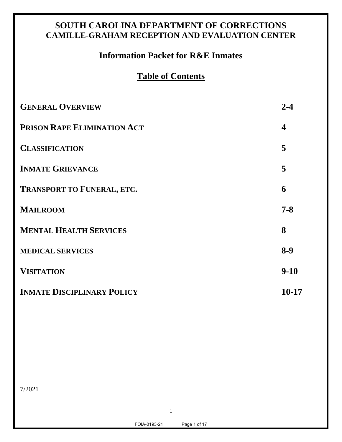# **SOUTH CAROLINA DEPARTMENT OF CORRECTIONS CAMILLE-GRAHAM RECEPTION AND EVALUATION CENTER**

# **Information Packet for R&E Inmates**

# **Table of Contents**

| <b>GENERAL OVERVIEW</b>           | $2 - 4$          |
|-----------------------------------|------------------|
| PRISON RAPE ELIMINATION ACT       | $\boldsymbol{4}$ |
| <b>CLASSIFICATION</b>             | 5                |
| <b>INMATE GRIEVANCE</b>           | 5                |
| <b>TRANSPORT TO FUNERAL, ETC.</b> | 6                |
| <b>MAILROOM</b>                   | $7 - 8$          |
| <b>MENTAL HEALTH SERVICES</b>     | 8                |
| <b>MEDICAL SERVICES</b>           | $8-9$            |
| <b>VISITATION</b>                 | $9-10$           |
| <b>INMATE DISCIPLINARY POLICY</b> | $10 - 17$        |

7/2021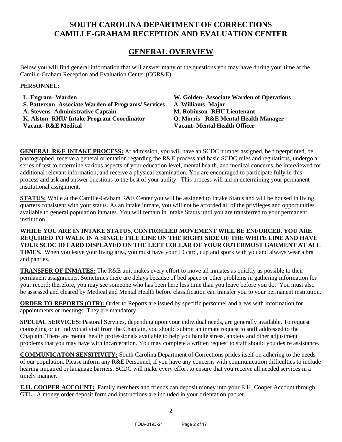## **SOUTH CAROLINA DEPARTMENT OF CORRECTIONS CAMILLE-GRAHAM RECEPTION AND EVALUATION CENTER**

## **GENERAL OVERVIEW**

Below you will find general information that will answer many of the questions you may have during your time at the Camille-Graham Reception and Evaluation Center (CGR&E).

### **PERSONNEL:**

**L. Engram- Warden W. Golden- Associate Warden of Operations S. Patterson- Associate Warden of Programs/ Services A. Williams- Major A. Stevens- Administrative Captain M. Robinson- RHU Lieutenant K. Alston- RHU/ Intake Program Coordinator Q. Morris - R&E Mental Health Manager Vacant- R&E Medical Vacant- Mental Health Officer**

**GENERAL R&E INTAKE PROCESS:** At admission, you will have an SCDC number assigned, be fingerprinted, be photographed, receive a general orientation regarding the R&E process and basic SCDC rules and regulations, undergo a series of test to determine various aspects of your education level, mental health, and medical concerns, be interviewed for additional relevant information, and receive a physical examination. You are encouraged to participate fully in this process and ask and answer questions to the best of your ability. This process will aid in determining your permanent institutional assignment.

**STATUS:** While at the Camille-Graham R&E Center you will be assigned to Intake Status and will be housed in living quarters consistent with your status. As an intake inmate, you will not be afforded all of the privileges and opportunities available to general population inmates. You will remain in Intake Status until you are transferred to your permanent institution.

**WHILE YOU ARE IN INTAKE STATUS, CONTROLLED MOVEMENT WILL BE ENFORCED. YOU ARE REQUIRED TO WALK IN A SINGLE FILE LINE ON THE RIGHT SIDE OF THE WHITE LINE AND HAVE YOUR SCDC ID CARD DISPLAYED ON THE LEFT COLLAR OF YOUR OUTERMOST GARMENT AT ALL TIMES.** When you leave your living area, you must have your ID card, cup and spork with you and always wear a bra and panties.

**TRANSFER OF INMATES:** The R&E unit makes every effort to move all inmates as quickly as possible to their permanent assignments. Sometimes there are delays because of bed space or other problems in gathering information for your record; therefore, you may see someone who has been here less time than you leave before you do. You must also be assessed and cleared by Medical and Mental Health before classification can transfer you to your permanent institution.

**ORDER TO REPORTS (OTR):** Order to Reports are issued by specific personnel and areas with information for appointments or meetings. They are mandatory

**SPECIAL SERVICES:** Pastoral Services, depending upon your individual needs, are generally available. To request counseling or an individual visit from the Chaplain, you should submit an inmate request to staff addressed to the Chaplain. There are mental health professionals available to help you handle stress, anxiety and other adjustment problems that you may have with incarceration. You may complete a written request to staff should you desire assistance.

**COMMUNICATON SENSITIVITY:** South Carolina Department of Corrections prides itself on adhering to the needs of our population. Please inform any R&E Personnel, if you have any concerns with communication difficulties to include hearing impaired or language barriers. SCDC will make every effort to ensure that you receive all needed services in a timely manner.

**E.H. COOPER ACCOUNT:** Family members and friends can deposit money into your E.H. Cooper Account through GTL. A money order deposit form and instructions are included in your orientation packet.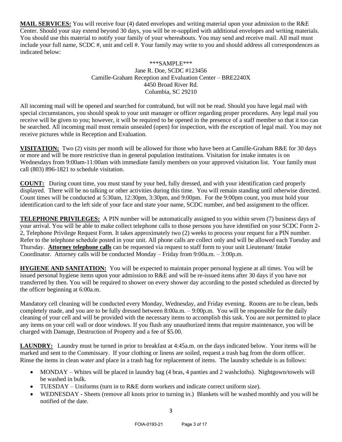**MAIL SERVICES:** You will receive four (4) dated envelopes and writing material upon your admission to the R&E Center. Should your stay extend beyond 30 days, you will be re-supplied with additional envelopes and writing materials. You should use this material to notify your family of your whereabouts. You may send and receive mail. All mail must include your full name, SCDC #, unit and cell #. Your family may write to you and should address all correspondences as indicated below:

#### \*\*\*SAMPLE\*\*\* Jane R. Doe, SCDC #123456 Camille-Graham Reception and Evaluation Center – BRE2240X 4450 Broad River Rd. Columbia, SC 29210

All incoming mail will be opened and searched for contraband, but will not be read. Should you have legal mail with special circumstances, you should speak to your unit manager or officer regarding proper procedures. Any legal mail you receive will be given to you; however, it will be required to be opened in the presence of a staff member so that it too can be searched. All incoming mail must remain unsealed (open) for inspection, with the exception of legal mail. You may not receive pictures while in Reception and Evaluation.

**VISITATION:** Two (2) visits per month will be allowed for those who have been at Camille-Graham R&E for 30 days or more and will be more restrictive than in general population institutions. Visitation for intake inmates is on Wednesdays from 9:00am-11:00am with immediate family members on your approved visitation list. Your family must call (803) 896-1821 to schedule visitation.

**COUNT:** During count time, you must stand by your bed, fully dressed, and with your identification card properly displayed. There will be no talking or other activities during this time. You will remain standing until otherwise directed. Count times will be conducted at 5:30am, 12:30pm, 3:30pm, and 9:00pm. For the 9:00pm count, you must hold your identification card to the left side of your face and state your name, SCDC number, and bed assignment to the officer.

**TELEPHONE PRIVILEGES:** A PIN number will be automatically assigned to you within seven (7) business days of your arrival. You will be able to make collect telephone calls to those persons you have identified on your SCDC Form 2- 2, Telephone Privilege Request Form. It takes approximately two (2) weeks to process your request for a PIN number. Refer to the telephone schedule posted in your unit. All phone calls are collect only and will be allowed each Tuesday and Thursday. **Attorney telephone calls** can be requested via request to staff form to your unit Lieutenant/ Intake Coordinator. Attorney calls will be conducted Monday – Friday from 9:00a.m. – 3:00p.m.

**HYGIENE AND SANITATION:** You will be expected to maintain proper personal hygiene at all times. You will be issued personal hygiene items upon your admission to R&E and will be re-issued items after 30 days if you have not transferred by then. You will be required to shower on every shower day according to the posted scheduled as directed by the officer beginning at 6:00a.m.

Mandatory cell cleaning will be conducted every Monday, Wednesday, and Friday evening. Rooms are to be clean, beds completely made, and you are to be fully dressed between 8:00a.m. – 9:00p.m. You will be responsible for the daily cleaning of your cell and will be provided with the necessary items to accomplish this task. You are not permitted to place any items on your cell wall or door windows. If you flush any unauthorized items that require maintenance, you will be charged with Damage, Destruction of Property and a fee of \$5.00.

**LAUNDRY:** Laundry must be turned in prior to breakfast at 4:45a.m. on the days indicated below. Your items will be marked and sent to the Commissary. If your clothing or linens are soiled, request a trash bag from the dorm officer. Rinse the items in clean water and place in a trash bag for replacement of items. The laundry schedule is as follows:

- MONDAY Whites will be placed in laundry bag (4 bras, 4 panties and 2 washcloths). Nightgown/towels will be washed in bulk.
- TUESDAY Uniforms (turn in to R&E dorm workers and indicate correct uniform size).
- WEDNESDAY Sheets (remove all knots prior to turning in.) Blankets will be washed monthly and you will be notified of the date.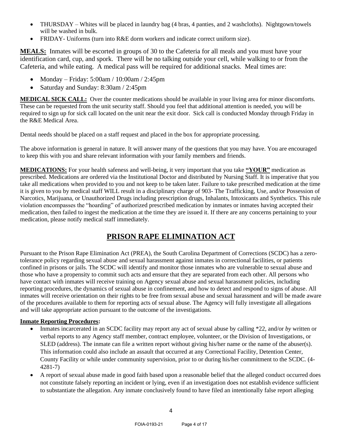- THURSDAY Whites will be placed in laundry bag (4 bras, 4 panties, and 2 washcloths). Nightgown/towels will be washed in bulk.
- FRIDAY- Uniforms (turn into R&E dorm workers and indicate correct uniform size).

**MEALS:** Inmates will be escorted in groups of 30 to the Cafeteria for all meals and you must have your identification card, cup, and spork. There will be no talking outside your cell, while walking to or from the Cafeteria, and while eating. A medical pass will be required for additional snacks. Meal times are:

- Monday Friday: 5:00am / 10:00am / 2:45pm
- Saturday and Sunday: 8:30am / 2:45pm

**MEDICAL SICK CALL:** Over the counter medications should be available in your living area for minor discomforts. These can be requested from the unit security staff. Should you feel that additional attention is needed, you will be required to sign up for sick call located on the unit near the exit door. Sick call is conducted Monday through Friday in the R&E Medical Area.

Dental needs should be placed on a staff request and placed in the box for appropriate processing.

The above information is general in nature. It will answer many of the questions that you may have. You are encouraged to keep this with you and share relevant information with your family members and friends.

**MEDICATIONS:** For your health safeness and well-being, it very important that you take **"YOUR"** medication as prescribed. Medications are ordered via the Institutional Doctor and distributed by Nursing Staff. It is imperative that you take all medications when provided to you and not keep to be taken later. Failure to take prescribed medication at the time it is given to you by medical staff WILL result in a disciplinary charge of 903- The Trafficking, Use, and/or Possession of Narcotics, Marijuana, or Unauthorized Drugs including prescription drugs, Inhalants, Intoxicants and Synthetics. This rule violation encompasses the "hoarding" of authorized prescribed medication by inmates or inmates having accepted their medication, then failed to ingest the medication at the time they are issued it. If there are any concerns pertaining to your medication, please notify medical staff immediately.

## **PRISON RAPE ELIMINATION ACT**

Pursuant to the Prison Rape Elimination Act (PREA), the South Carolina Department of Corrections (SCDC) has a zerotolerance policy regarding sexual abuse and sexual harassment against inmates in correctional facilities, or patients confined in prisons or jails. The SCDC will identify and monitor those inmates who are vulnerable to sexual abuse and those who have a propensity to commit such acts and ensure that they are separated from each other. All persons who have contact with inmates will receive training on Agency sexual abuse and sexual harassment policies, including reporting procedures, the dynamics of sexual abuse in confinement, and how to detect and respond to signs of abuse. All inmates will receive orientation on their rights to be free from sexual abuse and sexual harassment and will be made aware of the procedures available to them for reporting acts of sexual abuse. The Agency will fully investigate all allegations and will take appropriate action pursuant to the outcome of the investigations.

## **Inmate Reporting Procedures:**

- Inmates incarcerated in an SCDC facility may report any act of sexual abuse by calling \*22, and/or *by* written or verbal reports to any Agency staff member, contract employee, volunteer, or the Division of Investigations, or SLED (address). The inmate can file a written report without giving his/her name or the name of the abuser(s). This information could also include an assault that occurred at any Correctional Facility, Detention Center, County Facility or while under community supervision, prior to or during his/her commitment to the SCDC. (4- 4281-7)
- A report of sexual abuse made in good faith based upon a reasonable belief that the alleged conduct occurred does not constitute falsely reporting an incident or lying, even if an investigation does not establish evidence sufficient to substantiate the allegation. Any inmate conclusively found to have filed an intentionally false report alleging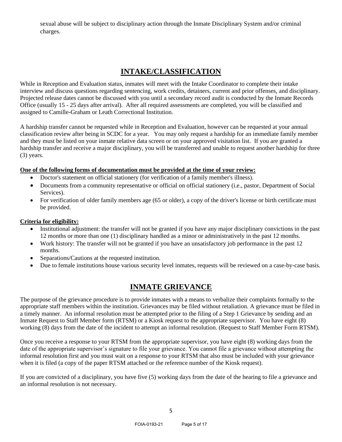sexual abuse will be subject to disciplinary action through the Inmate Disciplinary System and/or criminal charges.

## **INTAKE/CLASSIFICATION**

While in Reception and Evaluation status, inmates will meet with the Intake Coordinator to complete their intake interview and discuss questions regarding sentencing, work credits, detainers, current and prior offenses, and disciplinary. Projected release dates cannot be discussed with you until a secondary record audit is conducted by the Inmate Records Office (usually 15 - 25 days after arrival). After all required assessments are completed, you will be classified and assigned to Camille-Graham or Leath Correctional Institution.

A hardship transfer cannot be requested while in Reception and Evaluation, however can be requested at your annual classification review after being in SCDC for a year. You may only request a hardship for an immediate family member and they must be listed on your inmate relative data screen or on your approved visitation list. If you are granted a hardship transfer and receive a major disciplinary, you will be transferred and unable to request another hardship for three (3) years.

### **One of the following forms of documentation must be provided at the time of your review:**

- Doctor's statement on official stationery (for verification of a family member's illness).
- Documents from a community representative or official on official stationery (i.e., pastor, Department of Social Services).
- For verification of older family members age (65 or older), a copy of the driver's license or birth certificate must be provided.

#### **Criteria for eligibility:**

- Institutional adjustment: the transfer will not be granted if you have any major disciplinary convictions in the past 12 months or more than one (1) disciplinary handled as a minor or administratively in the past 12 months.
- Work history: The transfer will not be granted if you have an unsatisfactory job performance in the past 12 months.
- Separations/Cautions at the requested institution.
- Due to female institutions house various security level inmates, requests will be reviewed on a case-by-case basis.

## **INMATE GRIEVANCE**

The purpose of the grievance procedure is to provide inmates with a means to verbalize their complaints formally to the appropriate staff members within the institution. Grievances may be filed without retaliation. A grievance must be filed in a timely manner. An informal resolution must be attempted prior to the filing of a Step 1 Grievance by sending and an Inmate Request to Staff Member form (RTSM) or a Kiosk request to the appropriate supervisor. You have eight (8) working (8) days from the date of the incident to attempt an informal resolution. (Request to Staff Member Form RTSM).

Once you receive a response to your RTSM from the appropriate supervisor, you have eight (8) working days from the date of the appropriate supervisor's signature to file your grievance. You cannot file a grievance without attempting the informal resolution first and you must wait on a response to your RTSM that also must be included with your grievance when it is filed (a copy of the paper RTSM attached or the reference number of the Kiosk request).

If you are convicted of a disciplinary, you have five (5) working days from the date of the hearing to file a grievance and an informal resolution is not necessary.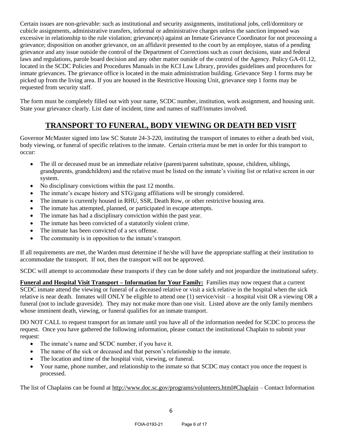Certain issues are non-grievable: such as institutional and security assignments, institutional jobs, cell/dormitory or cubicle assignments, administrative transfers, informal or administrative charges unless the sanction imposed was excessive in relationship to the rule violation; grievance(s) against an Inmate Grievance Coordinator for not processing a grievance; disposition on another grievance, on an affidavit presented to the court by an employee, status of a pending grievance and any issue outside the control of the Department of Corrections such as court decisions, state and federal laws and regulations, parole board decision and any other matter outside of the control of the Agency. Policy GA-01.12, located in the SCDC Policies and Procedures Manuals in the KCI Law Library, provides guidelines and procedures for inmate grievances. The grievance office is located in the main administration building. Grievance Step 1 forms may be picked up from the living area. If you are housed in the Restrictive Housing Unit, grievance step 1 forms may be requested from security staff.

The form must be completely filled out with your name, SCDC number, institution, work assignment, and housing unit. State your grievance clearly. List date of incident, time and names of staff/inmates involved.

# **TRANSPORT TO FUNERAL, BODY VIEWING OR DEATH BED VISIT**

Governor McMaster signed into law SC Statute 24-3-220, instituting the transport of inmates to either a death bed visit, body viewing, or funeral of specific relatives to the inmate. Certain criteria must be met in order for this transport to occur:

- The ill or deceased must be an immediate relative (parent/parent substitute, spouse, children, siblings, grandparents, grandchildren) and the relative must be listed on the inmate's visiting list or relative screen in our system.
- No disciplinary convictions within the past 12 months.
- The inmate's escape history and STG/gang affiliations will be strongly considered.
- The inmate is currently housed in RHU, SSR, Death Row, or other restrictive housing area.
- The inmate has attempted, planned, or participated in escape attempts.
- The inmate has had a disciplinary conviction within the past year.
- The inmate has been convicted of a statutorily violent crime.
- The inmate has been convicted of a sex offense.
- The community is in opposition to the inmate's transport.

If all requirements are met, the Warden must determine if he/she will have the appropriate staffing at their institution to accommodate the transport. If not, then the transport will not be approved.

SCDC will attempt to accommodate these transports if they can be done safely and not jeopardize the institutional safety.

**Funeral and Hospital Visit Transport – Information for Your Family:** Families may now request that a current SCDC inmate attend the viewing or funeral of a deceased relative or visit a sick relative in the hospital when the sick relative is near death. Inmates will ONLY be eligible to attend one (1) service/visit – a hospital visit OR a viewing OR a funeral (not to include graveside). They may not make more than one visit. Listed above are the only family members whose imminent death, viewing, or funeral qualifies for an inmate transport.

DO NOT CALL to request transport for an inmate until you have all of the information needed for SCDC to process the request. Once you have gathered the following information, please contact the institutional Chaplain to submit your request:

- The inmate's name and SCDC number, if you have it.
- The name of the sick or deceased and that person's relationship to the inmate.
- The location and time of the hospital visit, viewing, or funeral.
- Your name, phone number, and relationship to the inmate so that SCDC may contact you once the request is processed.

The list of Chaplains can be found at http://www.doc.sc.gov/programs/volunteers.html#Chaplain – Contact Information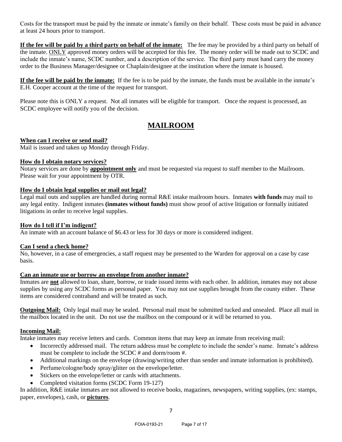Costs for the transport must be paid by the inmate or inmate's family on their behalf. These costs must be paid in advance at least 24 hours prior to transport.

**If the fee will be paid by a third party on behalf of the inmate:** The fee may be provided by a third party on behalf of the inmate. ONLY approved money orders will be accepted for this fee. The money order will be made out to SCDC and include the inmate's name, SCDC number, and a description of the service. The third party must hand carry the money order to the Business Manager/designee or Chaplain/designee at the institution where the inmate is housed.

**If the fee will be paid by the inmate:** If the fee is to be paid by the inmate, the funds must be available in the inmate's E.H. Cooper account at the time of the request for transport.

Please note this is ONLY a request. Not all inmates will be eligible for transport. Once the request is processed, an SCDC employee will notify you of the decision.

## **MAILROOM**

#### **When can I receive or send mail?**

Mail is issued and taken up Monday through Friday.

#### **How do I obtain notary services?**

Notary services are done by **appointment only** and must be requested via request to staff member to the Mailroom. Please wait for your appointment by OTR.

### **How do I obtain legal supplies or mail out legal?**

Legal mail outs and supplies are handled during normal R&E intake mailroom hours. Inmates **with funds** may mail to any legal entity. Indigent inmates **(inmates without funds)** must show proof of active litigation or formally initiated litigations in order to receive legal supplies.

## **How do I tell if I'm indigent?**

An inmate with an account balance of \$6.43 or less for 30 days or more is considered indigent.

#### **Can I send a check home?**

No, however, in a case of emergencies, a staff request may be presented to the Warden for approval on a case by case basis.

#### **Can an inmate use or borrow an envelope from another inmate?**

Inmates are **not** allowed to loan, share, borrow, or trade issued items with each other. In addition, inmates may not abuse supplies by using any SCDC forms as personal paper. You may not use supplies brought from the county either. These items are considered contraband and will be treated as such.

**Outgoing Mail:** Only legal mail may be sealed. Personal mail must be submitted tucked and unsealed. Place all mail in the mailbox located in the unit. Do not use the mailbox on the compound or it will be returned to you.

## **Incoming Mail:**

Intake inmates may receive letters and cards.Common items that may keep an inmate from receiving mail:

- Incorrectly addressed mail. The return address must be complete to include the sender's name. Inmate's address must be complete to include the SCDC # and dorm/room #.
- Additional markings on the envelope (drawing/writing other than sender and inmate information is prohibited).
- Perfume/cologne/body spray/glitter on the envelope/letter.
- Stickers on the envelope/letter or cards with attachments.
- Completed visitation forms (SCDC Form 19-127)

In addition, R&E intake inmates are not allowed to receive books, magazines, newspapers, writing supplies, (ex: stamps, paper, envelopes), cash, or **pictures**.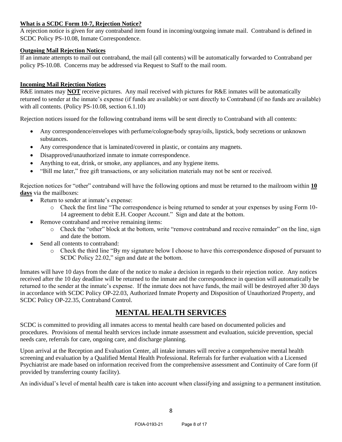### **What is a SCDC Form 10-7, Rejection Notice?**

A rejection notice is given for any contraband item found in incoming/outgoing inmate mail. Contraband is defined in SCDC Policy PS-10.08, Inmate Correspondence.

### **Outgoing Mail Rejection Notices**

If an inmate attempts to mail out contraband, the mail (all contents) will be automatically forwarded to Contraband per policy PS-10.08. Concerns may be addressed via Request to Staff to the mail room.

## **Incoming Mail Rejection Notices**

R&E inmates may **NOT** receive pictures. Any mail received with pictures for R&E inmates will be automatically returned to sender at the inmate's expense (if funds are available) or sent directly to Contraband (if no funds are available) with all contents. (Policy PS-10.08, section 6.1.10)

Rejection notices issued for the following contraband items will be sent directly to Contraband with all contents:

- Any correspondence/envelopes with perfume/cologne/body spray/oils, lipstick, body secretions or unknown substances.
- Any correspondence that is laminated/covered in plastic, or contains any magnets.
- Disapproved/unauthorized inmate to inmate correspondence.
- Anything to eat, drink, or smoke, any appliances, and any hygiene items.
- "Bill me later," free gift transactions, or any solicitation materials may not be sent or received.

Rejection notices for "other" contraband will have the following options and must be returned to the mailroom within **10 days** via the mailboxes:

- Return to sender at inmate's expense:
	- o Check the first line "The correspondence is being returned to sender at your expenses by using Form 10- 14 agreement to debit E.H. Cooper Account." Sign and date at the bottom.
- Remove contraband and receive remaining items:
	- o Check the "other" block at the bottom, write "remove contraband and receive remainder" on the line, sign and date the bottom.
- Send all contents to contraband:
	- o Check the third line "By my signature below I choose to have this correspondence disposed of pursuant to SCDC Policy 22.02," sign and date at the bottom.

Inmates will have 10 days from the date of the notice to make a decision in regards to their rejection notice. Any notices received after the 10 day deadline will be returned to the inmate and the correspondence in question will automatically be returned to the sender at the inmate's expense. If the inmate does not have funds, the mail will be destroyed after 30 days in accordance with SCDC Policy OP-22.03, Authorized Inmate Property and Disposition of Unauthorized Property, and SCDC Policy OP-22.35, Contraband Control.

## **MENTAL HEALTH SERVICES**

SCDC is committed to providing all inmates access to mental health care based on documented policies and procedures. Provisions of mental health services include inmate assessment and evaluation, suicide prevention, special needs care, referrals for care, ongoing care, and discharge planning.

Upon arrival at the Reception and Evaluation Center, all intake inmates will receive a comprehensive mental health screening and evaluation by a Qualified Mental Health Professional. Referrals for further evaluation with a Licensed Psychiatrist are made based on information received from the comprehensive assessment and Continuity of Care form (if provided by transferring county facility).

An individual's level of mental health care is taken into account when classifying and assigning to a permanent institution.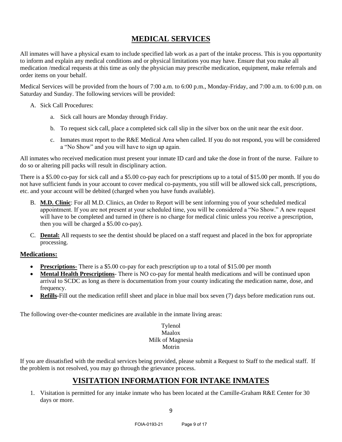## **MEDICAL SERVICES**

All inmates will have a physical exam to include specified lab work as a part of the intake process. This is you opportunity to inform and explain any medical conditions and or physical limitations you may have. Ensure that you make all medication /medical requests at this time as only the physician may prescribe medication, equipment, make referrals and order items on your behalf.

Medical Services will be provided from the hours of 7:00 a.m. to 6:00 p.m., Monday-Friday, and 7:00 a.m. to 6:00 p.m. on Saturday and Sunday. The following services will be provided:

- A. Sick Call Procedures:
	- a. Sick call hours are Monday through Friday.
	- b. To request sick call, place a completed sick call slip in the silver box on the unit near the exit door.
	- c. Inmates must report to the R&E Medical Area when called. If you do not respond, you will be considered a "No Show" and you will have to sign up again.

All inmates who received medication must present your inmate ID card and take the dose in front of the nurse. Failure to do so or altering pill packs will result in disciplinary action.

There is a \$5.00 co-pay for sick call and a \$5.00 co-pay each for prescriptions up to a total of \$15.00 per month. If you do not have sufficient funds in your account to cover medical co-payments, you still will be allowed sick call, prescriptions, etc. and your account will be debited (charged when you have funds available).

- B. **M.D. Clinic**: For all M.D. Clinics, an Order to Report will be sent informing you of your scheduled medical appointment. If you are not present at your scheduled time, you will be considered a "No Show." A new request will have to be completed and turned in (there is no charge for medical clinic unless you receive a prescription, then you will be charged a \$5.00 co-pay).
- C. **Dental:** All requests to see the dentist should be placed on a staff request and placed in the box for appropriate processing.

## **Medications:**

- **Prescriptions** There is a \$5.00 co-pay for each prescription up to a total of \$15.00 per month
- **Mental Health Prescriptions** There is NO co-pay for mental health medications and will be continued upon arrival to SCDC as long as there is documentation from your county indicating the medication name, dose, and frequency.
- **Refills-**Fill out the medication refill sheet and place in blue mail box seven (7) days before medication runs out.

The following over-the-counter medicines are available in the inmate living areas:

## Tylenol Maalox Milk of Magnesia Motrin

If you are dissatisfied with the medical services being provided, please submit a Request to Staff to the medical staff. If the problem is not resolved, you may go through the grievance process.

## **VISITATION INFORMATION FOR INTAKE INMATES**

1. Visitation is permitted for any intake inmate who has been located at the Camille-Graham R&E Center for 30 days or more.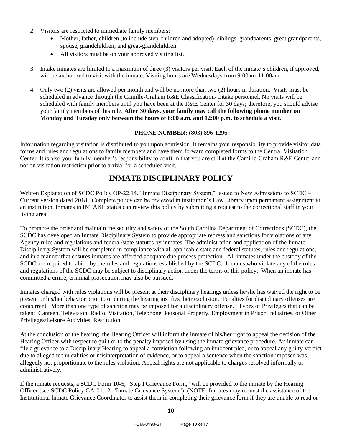- 2. Visitors are restricted to immediate family members:
	- Mother, father, children (to include step-children and adopted), siblings, grandparents, great grandparents, spouse, grandchildren, and great-grandchildren.
	- All visitors must be on your approved visiting list.
- 3. Intake inmates are limited to a maximum of three (3) visitors per visit. Each of the inmate's children, if approved, will be authorized to visit with the inmate. Visiting hours are Wednesdays from 9:00am-11:00am.
- 4. Only two (2) visits are allowed per month and will be no more than two (2) hours in duration. Visits must be scheduled in advance through the Camille-Graham R&E Classification/ Intake personnel. No visits will be scheduled with family members until you have been at the R&E Center for 30 days; therefore, you should advise your family members of this rule. **After 30 days, your family may call the following phone number on Monday and Tuesday only between the hours of 8:00 a.m. and 12:00 p.m. to schedule a visit.**

#### **PHONE NUMBER: (803) 896-1296**

Information regarding visitation is distributed to you upon admission. It remains your responsibility to provide visitor data forms and rules and regulations to family members and have them forward completed forms to the Central Visitation Center. It is also your family member's responsibility to confirm that you are still at the Camille-Graham R&E Center and not on visitation restriction prior to arrival for a scheduled visit.

## **INMATE DISCIPLINARY POLICY**

Written Explanation of SCDC Policy OP-22.14, "Inmate Disciplinary System," Issued to New Admissions to SCDC – Current version dated 2018. Complete policy can be reviewed in institution's Law Library upon permanent assignment to an institution. Inmates in INTAKE status can review this policy by submitting a request to the correctional staff in your living area.

To promote the order and maintain the security and safety of the South Carolina Department of Corrections (SCDC), the SCDC has developed an Inmate Disciplinary System to provide appropriate redress and sanctions for violations of any Agency rules and regulations and federal/state statutes by inmates. The administration and application of the Inmate Disciplinary System will be completed in compliance with all applicable state and federal statutes, rules and regulations, and in a manner that ensures inmates are afforded adequate due process protection. All inmates under the custody of the SCDC are required to abide by the rules and regulations established by the SCDC. Inmates who violate any of the rules and regulations of the SCDC may be subject to disciplinary action under the terms of this policy. When an inmate has committed a crime, criminal prosecution may also be pursued.

Inmates charged with rules violations will be present at their disciplinary hearings unless he/she has waived the right to be present or his/her behavior prior to or during the hearing justifies their exclusion. Penalties for disciplinary offenses are concurrent. More than one type of sanction may be imposed for a disciplinary offense. Types of Privileges that can be taken: Canteen, Television, Radio, Visitation, Telephone, Personal Property, Employment in Prison Industries, or Other Privileges/Leisure Activities, Restitution.

At the conclusion of the hearing, the Hearing Officer will inform the inmate of his/her right to appeal the decision of the Hearing Officer with respect to guilt or to the penalty imposed by using the inmate grievance procedure. An inmate can file a grievance to a Disciplinary Hearing to appeal a conviction following an innocent plea, or to appeal any guilty verdict due to alleged technicalities or misinterpretation of evidence, or to appeal a sentence when the sanction imposed was allegedly not proportionate to the rules violation. Appeal rights are not applicable to charges resolved informally or administratively.

If the inmate requests, a SCDC Form 10-5, "Step I Grievance Form," will be provided to the inmate by the Hearing Officer (see SCDC Policy GA-01.12, "Inmate Grievance System"). (NOTE: Inmates may request the assistance of the Institutional Inmate Grievance Coordinator to assist them in completing their grievance form if they are unable to read or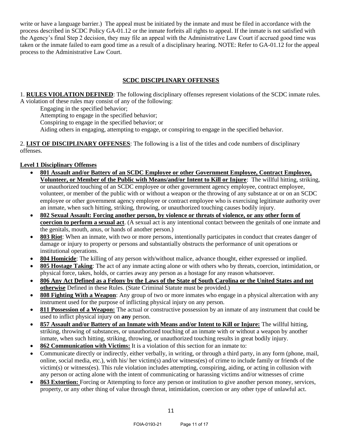write or have a language barrier.) The appeal must be initiated by the inmate and must be filed in accordance with the process described in SCDC Policy GA-01.12 or the inmate forfeits all rights to appeal. If the inmate is not satisfied with the Agency's final Step 2 decision, they may file an appeal with the Administrative Law Court if accrued good time was taken or the inmate failed to earn good time as a result of a disciplinary hearing. NOTE: Refer to GA-01.12 for the appeal process to the Administrative Law Court.

### **SCDC DISCIPLINARY OFFENSES**

1. **RULES VIOLATION DEFINED**: The following disciplinary offenses represent violations of the SCDC inmate rules. A violation of these rules may consist of any of the following:

Engaging in the specified behavior;

Attempting to engage in the specified behavior;

Conspiring to engage in the specified behavior; or

Aiding others in engaging, attempting to engage, or conspiring to engage in the specified behavior.

2. **LIST OF DISCIPLINARY OFFENSES**: The following is a list of the titles and code numbers of disciplinary offenses.

#### **Level 1 Disciplinary Offenses**

- **801 Assault and/or Battery of an SCDC Employee or other Government Employee, Contract Employee, Volunteer, or Member of the Public with Means/and/or Intent to Kill or Injure**: The willful hitting, striking, or unauthorized touching of an SCDC employee or other government agency employee, contract employee, volunteer, or member of the public with or without a weapon or the throwing of any substance at or on an SCDC employee or other government agency employee or contract employee who is exercising legitimate authority over an inmate, when such hitting, striking, throwing, or unauthorized touching causes bodily injury.
- **802 Sexual Assault: Forcing another person, by violence or threats of violence, or any other form of coercion to perform a sexual act**. (A sexual act is any intentional contact between the genitals of one inmate and the genitals, mouth, anus, or hands of another person.)
- **803 Riot**: When an inmate, with two or more persons, intentionally participates in conduct that creates danger of damage or injury to property or persons and substantially obstructs the performance of unit operations or institutional operations.
- **804 Homicide**: The killing of any person with/without malice, advance thought, either expressed or implied.
- **805 Hostage Taking**: The act of any inmate acting alone or with others who by threats, coercion, intimidation, or physical force, takes, holds, or carries away any person as a hostage for any reason whatsoever.
- **806 Any Act Defined as a Felony by the Laws of the State of South Carolina or the United States and not otherwise** Defined in these Rules. (State Criminal Statute must be provided.)
- **808 Fighting With a Weapon**: Any group of two or more inmates who engage in a physical altercation with any instrument used for the purpose of inflicting physical injury on any person.
- **811 Possession of a Weapon:** The actual or constructive possession by an inmate of any instrument that could be used to inflict physical injury on **any** person.
- **857 Assault and/or Battery of an Inmate with Means and/or Intent to Kill or Injure:** The willful hitting, striking, throwing of substances, or unauthorized touching of an inmate with or without a weapon by another inmate, when such hitting, striking, throwing, or unauthorized touching results in great bodily injury.
- **862 Communication with Victims:** It is a violation of this section for an inmate to:
- Communicate directly or indirectly, either verbally, in writing, or through a third party, in any form (phone, mail, online, social media, etc.), with his/ her victim(s) and/or witness(es) of crime to include family or friends of the victim(s) or witness(es). This rule violation includes attempting, conspiring, aiding, or acting in collusion with any person or acting alone with the intent of communicating or harassing victims and/or witnesses of crime
- **863 Extortion:** Forcing or Attempting to force any person or institution to give another person money, services, property, or any other thing of value through threat, intimidation, coercion or any other type of unlawful act.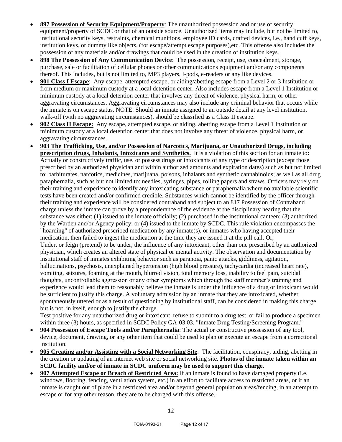- **897 Possession of Security Equipment/Property**: The unauthorized possession and or use of security equipment/property of SCDC or that of an outside source. Unauthorized items may include, but not be limited to, institutional security keys, restraints, chemical munitions, employee ID cards, crafted devices, i.e., hand cuff keys, institution keys, or dummy like objects, (for escape/attempt escape purposes),etc. This offense also includes the possession of any materials and/or drawings that could be used in the creation of institution keys.
- **898 The Possession of Any Communication Device**: The possession, receipt, use, concealment, storage, purchase, sale or facilitation of cellular phones or other communications equipment and/or any components thereof. This includes, but is not limited to, MP3 players, I-pods, e-readers or any like devices.
- **901 Class I Escape**: Any escape, attempted escape, or aiding/abetting escape from a Level 2 or 3 Institution or from medium or maximum custody at a local detention center. Also includes escape from a Level 1 Institution or minimum custody at a local detention center that involves any threat of violence, physical harm, or other aggravating circumstances. Aggravating circumstances may also include any criminal behavior that occurs while the inmate is on escape status. NOTE: Should an inmate assigned to an outside detail at any level institution, walk-off (with no aggravating circumstances), should be classified as a Class II escape.
- **902 Class II Escape:** Any escape, attempted escape, or aiding, abetting escape from a Level 1 Institution or minimum custody at a local detention center that does not involve any threat of violence, physical harm, or aggravating circumstances.
- **903 The Trafficking, Use, and/or Possession of Narcotics, Marijuana, or Unauthorized Drugs, including prescription drugs, Inhalants***,* **Intoxicants and Synthetics.** It is a violation of this section for an inmate to**:**  Actually or constructively traffic, use, or possess drugs or intoxicants of any type or description (except those prescribed by an authorized physician and within authorized amounts and expiration dates) such as but not limited to: barbiturates, narcotics, medicines, marijuana, poisons, inhalants and synthetic cannabinoids; as well as all drug paraphernalia, such as but not limited to: needles, syringes, pipes, rolling papers and straws. Officers may rely on their training and experience to identify any intoxicating substance or paraphernalia where no available scientific tests have been created and/or confirmed credible. Substances which cannot be identified by the officer through their training and experience will be considered contraband and subject to an 817 Possession of Contraband charge unless the inmate can prove by a preponderance of the evidence at the disciplinary hearing that the substance was either: (1) issued to the inmate officially; (2) purchased in the institutional canteen; (3) authorized by the Warden and/or Agency policy; or (4) issued to the inmate by SCDC. This rule violation encompasses the "hoarding" of authorized prescribed medication by any inmate(s), or inmates who having accepted their medication, then failed to ingest the medication at the time they are issued it at the pill call. Or; Under, or feign (pretend) to be under, the influence of any intoxicant, other than one prescribed by an authorized physician, which creates an altered state of physical or mental activity. The observation and documentation by institutional staff of inmates exhibiting behavior such as paranoia, panic attacks, giddiness, agitation, hallucinations, psychosis, unexplained hypertension (high blood pressure), tachycardia (increased heart rate), vomiting, seizures, foaming at the mouth, blurred vision, total memory loss, inability to feel pain, suicidal thoughts, uncontrollable aggression or any other symptoms which through the staff member's training and experience would lead them to reasonably believe the inmate is under the influence of a drug or intoxicant would be sufficient to justify this charge. A voluntary admission by an inmate that they are intoxicated, whether spontaneously uttered or as a result of questioning by institutional staff, can be considered in making this charge but is not, in itself, enough to justify the charge.

Test positive for any unauthorized drug or intoxicant, refuse to submit to a drug test, or fail to produce a specimen within three (3) hours, as specified in SCDC Policy GA-03.03, "Inmate Drug Testing/Screening Program."

- **904 Possession of Escape Tools and/or Paraphernalia**: The actual or constructive possession of any tool, device, document, drawing, or any other item that could be used to plan or execute an escape from a correctional institution.
- **905 Creating and/or Assisting with a Social Networking Site**: The facilitation, conspiracy, aiding, abetting in the creation or updating of an internet web site or social networking site. **Photos of the inmate taken within an SCDC facility and/or of inmate in SCDC uniform may be used to support this charge.**
- **907 Attempted Escape or Breach of Restricted Area:** If an inmate is found to have damaged property (i.e. windows, flooring, fencing, ventilation system, etc.) in an effort to facilitate access to restricted areas, or if an inmate is caught out of place in a restricted area and/or beyond general population areas/fencing, in an attempt to escape or for any other reason, they are to be charged with this offense.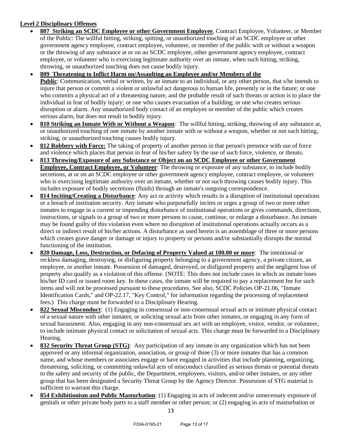## **Level 2 Disciplinary Offenses**

- **807 Striking an SCDC Employee or other Government Employee**, Contract Employee, Volunteer, or Member of the Public: The willful hitting, striking, spitting, or unauthorized touching of an SCDC employee or other government agency employee, contract employee, volunteer, or member of the public with or without a weapon or the throwing of any substance at or on an SCDC employee, other government agency employee, contract employee, or volunteer who is exercising legitimate authority over an inmate, when such hitting, striking, throwing, or unauthorized touching does not cause bodily injury.
- **809 Threatening to Inflict Harm on/Assaulting an Employee and/or Members of the Public**: Communication, verbal or written, by an inmate to an individual, or any other person, that s/he intends to injure that person or commit a violent or unlawful act dangerous to human life, presently or in the future; or one who commits a physical act of a threatening nature, and the probable result of such threats or action is to place the individual in fear of bodily injury; or one who causes evacuation of a building; or one who creates serious disruption or alarm. Any unauthorized body contact of an employee or member of the public which creates serious alarm, but does not result in bodily injury.
- **810 Striking an Inmate With or Without a Weapon**: The willful hitting, striking, throwing of any substance at, or unauthorized touching of one inmate by another inmate with or without a weapon, whether or not such hitting, striking, or unauthorized touching causes bodily injury.
- **812 Robbery with Force:** The taking of property of another person in that person's presence with use of force and violence which places that person in fear of his/her safety by the use of such force, violence, or threats.
- **813 Throwing/Exposure of any Substance or Object on an SCDC Employee or other Government Employee, Contract Employee, or Volunteer**: The throwing or exposure of any substance, to include bodily secretions, at or on an SCDC employee or other government agency employee, contract employee, or volunteer who is exercising legitimate authority over an inmate, whether or not such throwing causes bodily injury. This includes exposure of bodily secretions (fluids) through an inmate's outgoing correspondence.
- **814 Inciting/Creating a Disturbance**: Any act or activity which results in a disruption of institutional operations or a breach of institution security. Any inmate who purposefully incites or urges a group of two or more other inmates to engage in a current or impending disturbance of institutional operations or gives commands, directions, instructions, or signals to a group of two or more persons to cause, continue, or enlarge a disturbance. An inmate may be found guilty of this violation even where no disruption of institutional operations actually occurs as a direct or indirect result of his/her actions. A disturbance as used herein is an assemblage of three or more persons which creates grave danger or damage or injury to property or persons and/or substantially disrupts the normal functioning of the institution.
- **820 Damage, Loss, Destruction, or Defacing of Property Valued at 100.00 or more**: The intentional or reckless damaging, destroying, or disfiguring property belonging to a government agency, a private citizen, an employee, or another inmate. Possession of damaged, destroyed, or disfigured property and the negligent loss of property also qualify as a violation of this offense. (NOTE: This does not include cases in which an inmate loses his/her ID card or issued room key. In these cases, the inmate will be required to pay a replacement fee for such items and will not be processed pursuant to these procedures. See also, SCDC Policies OP-21.06, "Inmate Identification Cards," and OP-22.17, "Key Control," for information regarding the processing of replacement fees.) This charge must be forwarded to a Disciplinary Hearing.
- **822 Sexual Misconduct**: (1) Engaging in consensual or non-consensual sexual acts or intimate physical contact of a sexual nature with other inmates; or soliciting sexual acts from other inmates, or engaging in any form of sexual harassment. Also, engaging in any non-consensual sex act with an employee, visitor, vendor, or volunteer, to include intimate physical contact or solicitation of sexual acts. This charge must be forwarded to a Disciplinary Hearing.
- **832 Security Threat Group (STG)**: Any participation of any inmate in any organization which has not been approved or any informal organization, association, or group of three (3) or more inmates that has a common name, and whose members or associates engage or have engaged in activities that include planning, organizing, threatening, soliciting, or committing unlawful acts of misconduct classified as serious threats or potential threats to the safety and security of the public, the Department, employees, visitors, and/or other inmates, or any other group that has been designated a Security Threat Group by the Agency Director. Possession of STG material is sufficient to warrant this charge.
- **854 Exhibitionism and Public Masturbation**: (1) Engaging in acts of indecent and/or unnecessary exposure of genitals or other private body parts to a staff member or other person; or (2) engaging in acts of masturbation or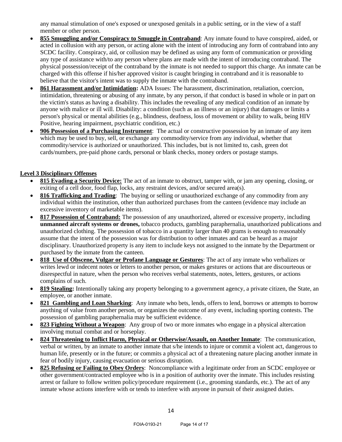any manual stimulation of one's exposed or unexposed genitals in a public setting, or in the view of a staff member or other person.

- **855 Smuggling and/or Conspiracy to Smuggle in Contraband**: Any inmate found to have conspired, aided, or acted in collusion with any person, or acting alone with the intent of introducing any form of contraband into any SCDC facility. Conspiracy, aid, or collusion may be defined as using any form of communication or providing any type of assistance with/to any person where plans are made with the intent of introducing contraband. The physical possession/receipt of the contraband by the inmate is not needed to support this charge. An inmate can be charged with this offense if his/her approved visitor is caught bringing in contraband and it is reasonable to believe that the visitor's intent was to supply the inmate with the contraband.
- **861 Harassment and/or Intimidation:** ADA Issues: The harassment, discrimination, retaliation, coercion, intimidation, threatening or abusing of any inmate, by any person, if that conduct is based in whole or in part on the victim's status as having a disability. This includes the revealing of any medical condition of an inmate by anyone with malice or ill will. Disability: a condition (such as an illness or an injury) that damages or limits a person's physical or mental abilities (e.g., blindness, deafness, loss of movement or ability to walk, being HIV Positive, hearing impairment, psychiatric condition, etc.)
- **906 Possession of a Purchasing Instrument**: The actual or constructive possession by an inmate of any item which may be used to buy, sell, or exchange any commodity/service from any individual, whether that commodity/service is authorized or unauthorized. This includes, but is not limited to, cash, green dot cards/numbers, pre-paid phone cards, personal or blank checks, money orders or postage stamps.

## **Level 3 Disciplinary Offenses**

- **815 Evading a Security Device:** The act of an inmate to obstruct, tamper with, or jam any opening, closing, or exiting of a cell door, food flap, locks, any restraint devices, and/or secured area(s).
- **816 Trafficking and Trading**: The buying or selling or unauthorized exchange of any commodity from any individual within the institution, other than authorized purchases from the canteen (evidence may include an excessive inventory of marketable items).
- **817 Possession of Contraband:** The possession of any unauthorized, altered or excessive property, including **unmanned aircraft systems or drones,** tobacco products, gambling paraphernalia, unauthorized publications and unauthorized clothing. The possession of tobacco in a quantity larger than 40 grams is enough to reasonably assume that the intent of the possession was for distribution to other inmates and can be heard as a major disciplinary. Unauthorized property is any item to include keys not assigned to the inmate by the Department or purchased by the inmate from the canteen.
- **818 Use of Obscene, Vulgar or Profane Language or Gestures**: The act of any inmate who verbalizes or writes lewd or indecent notes or letters to another person, or makes gestures or actions that are discourteous or disrespectful in nature, when the person who receives verbal statements, notes, letters, gestures, or actions complains of such.
- **819 Stealing:** Intentionally taking any property belonging to a government agency, a private citizen, the State, an employee, or another inmate.
- **821 Gambling and Loan Sharking**: Any inmate who bets, lends, offers to lend, borrows or attempts to borrow anything of value from another person, or organizes the outcome of any event, including sporting contests. The possession of gambling paraphernalia may be sufficient evidence.
- **823 Fighting Without a Weapon**: Any group of two or more inmates who engage in a physical altercation involving mutual combat and or horseplay.
- **824 Threatening to Inflict Harm, Physical or Otherwise/Assault, on Another Inmate**: The communication, verbal or written, by an inmate to another inmate that s/he intends to injure or commit a violent act, dangerous to human life, presently or in the future; or commits a physical act of a threatening nature placing another inmate in fear of bodily injury, causing evacuation or serious disruption.
- **825 Refusing or Failing to Obey Orders**: Noncompliance with a legitimate order from an SCDC employee or other government/contracted employee who is in a position of authority over the inmate. This includes resisting arrest or failure to follow written policy/procedure requirement (i.e., grooming standards, etc.). The act of any inmate whose actions interfere with or tends to interfere with anyone in pursuit of their assigned duties.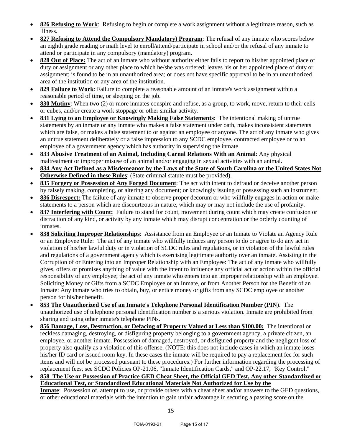- **826 Refusing to Work**: Refusing to begin or complete a work assignment without a legitimate reason, such as illness.
- **827 Refusing to Attend the Compulsory Mandatory) Program**: The refusal of any inmate who scores below an eighth grade reading or math level to enroll/attend/participate in school and/or the refusal of any inmate to attend or participate in any compulsory (mandatory) program.
- **828 Out of Place:** The act of an inmate who without authority either fails to report to his/her appointed place of duty or assignment or any other place to which he/she was ordered; leaves his or her appointed place of duty or assignment; is found to be in an unauthorized area; or does not have specific approval to be in an unauthorized area of the institution or any area of the institution.
- **829 Failure to Work**: Failure to complete a reasonable amount of an inmate's work assignment within a reasonable period of time, or sleeping on the job.
- **830 Mutiny**: When two (2) or more inmates conspire and refuse, as a group, to work, move, return to their cells or cubes, and/or create a work stoppage or other similar activity.
- **831 Lying to an Employee or Knowingly Making False Statements**: The intentional making of untrue statements by an inmate or any inmate who makes a false statement under oath, makes inconsistent statements which are false, or makes a false statement to or against an employee or anyone. The act of any inmate who gives an untrue statement deliberately or a false impression to any SCDC employee, contracted employee or to an employee of a government agency which has authority in supervising the inmate.
- **833 Abusive Treatment of an Animal, Including Carnal Relations With an Animal**: Any physical maltreatment or improper misuse of an animal and/or engaging in sexual activities with an animal.
- **834 Any Act Defined as a Misdemeanor by the Laws of the State of South Carolina or the United States Not Otherwise Defined in these Rules**: (State criminal statute must be provided).
- **835 Forgery or Possession of Any Forged Document**: The act with intent to defraud or deceive another person by falsely making, completing, or altering any document; or knowingly issuing or possessing such an instrument.
- **836 Disrespect:** The failure of any inmate to observe proper decorum or who willfully engages in action or make statements to a person which are discourteous in nature, which may or may not include the use of profanity.
- **837 Interfering with Count:** Failure to stand for count, movement during count which may create confusion or distraction of any kind, or activity by any inmate which may disrupt concentration or the orderly counting of inmates.
- **838 Soliciting Improper Relationships**: Assistance from an Employee or an Inmate to Violate an Agency Rule or an Employee Rule: The act of any inmate who willfully induces any person to do or agree to do any act in violation of his/her lawful duty or in violation of SCDC rules and regulations, or in violation of the lawful rules and regulations of a government agency which is exercising legitimate authority over an inmate. Assisting in the Corruption of or Entering into an Improper Relationship with an Employee: The act of any inmate who willfully gives, offers or promises anything of value with the intent to influence any official act or action within the official responsibility of any employee; the act of any inmate who enters into an improper relationship with an employee. Soliciting Money or Gifts from a SCDC Employee or an Inmate, or from Another Person for the Benefit of an Inmate: Any inmate who tries to obtain, buy, or entice money or gifts from any SCDC employee or another person for his/her benefit.
- **853 The Unauthorized Use of an Inmate's Telephone Personal Identification Number (PIN**). The unauthorized use of telephone personal identification number is a serious violation. Inmate are prohibited from sharing and using other inmate's telephone PINs.
- **856 Damage, Loss, Destruction, or Defacing of Property Valued at Less than \$100.00:** The intentional or reckless damaging, destroying, or disfiguring property belonging to a government agency, a private citizen, an employee, or another inmate. Possession of damaged, destroyed, or disfigured property and the negligent loss of property also qualify as a violation of this offense. (NOTE: this does not include cases in which an inmate loses his/her ID card or issued room key. In these cases the inmate will be required to pay a replacement fee for such items and will not be processed pursuant to these procedures.) For further information regarding the processing of replacement fees, see SCDC Policies OP-21.06, "Inmate Identification Cards," and OP-22.17, "Key Control."
- **858 The Use or Possession of Practice GED Cheat Sheet, the Official GED Test, Any other Standardized or Educational Test, or Standardized Educational Materials Not Authorized for Use by the Inmate**: Possession of, attempt to use, or provide others with a cheat sheet and/or answers to the GED questions, or other educational materials with the intention to gain unfair advantage in securing a passing score on the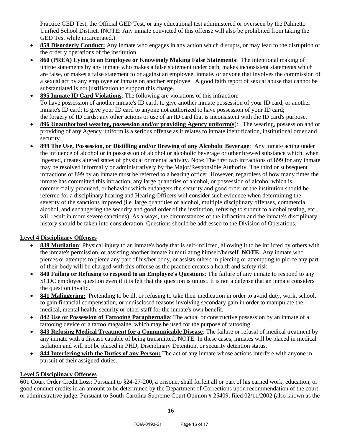Practice GED Test, the Official GED Test, or any educational test administered or overseen by the Palmetto Unified School District. **(**NOTE: Any inmate convicted of this offense will also be prohibited from taking the GED Test while incarcerated.)

- **859 Disorderly Conduct:** Any inmate who engages in any action which disrupts, or may lead to the disruption of the orderly operations of the institution.
- **860 (PREA) Lying to an Employee or Knowingly Making False Statements**: The intentional making of untrue statements by any inmate who makes a false statement under oath, makes inconsistent statements which are false, or makes a false statement to or against an employee, inmate, or anyone that involves the commission of a sexual act by any employee or inmate on another employee. A good faith report of sexual abuse that cannot be substantiated is not justification to support this charge.
- **895 Inmate ID Card Violations**: The following are violations of this infraction: To have possession of another inmate's ID card; to give another inmate possession of your ID card, or another inmate's ID card; to give your ID card to anyone not authorized to have possession of your ID card; the forgery of ID cards; any other actions or use of an ID card that is inconsistent with the ID card's purpose.
- **896 Unauthorized wearing, possession and/or providing Agency uniform(s**): The wearing, possession and or providing of an**y** Agency uniform is a serious offense as it relates to inmate identification, institutional order and security.
- **899 The Use, Possession, or Distilling and/or Brewing of any Alcoholic Beverage**: Any inmate acting under the influence of alcohol or in possession of alcohol or alcoholic beverage or other brewed substance which, when ingested, creates altered states of physical or mental activity. Note: The first two infractions of 899 for any inmate may be resolved informally or administratively by the Major/Responsible Authority. The third or subsequent infractions of 899 by an inmate must be referred to a hearing officer. However, regardless of how many times the inmate has committed this infraction, any large quantities of alcohol, or possession of alcohol which is commercially produced, or behavior which endangers the security and good order of the institution should be referred for a disciplinary hearing and Hearing Officers will consider such evidence when determining the severity of the sanctions imposed (i.e. large quantities of alcohol, multiple disciplinary offenses, commercial alcohol, and endangering the security and good order of the institution, refusing to submit to alcohol testing, etc., will result in more severe sanctions). As always, the circumstances of the infraction and the inmate's disciplinary history should be taken into consideration. Questions should be addressed to the Division of Operations.

## **Level 4 Disciplinary Offenses**

- **839 Mutilation**: Physical injury to an inmate's body that is self-inflicted, allowing it to be inflicted by others with the inmate's permission, or assisting another inmate in mutilating himself/herself. **NOTE:** Any inmate who pierces or attempts to pierce any part of his/her body, or assists others in piercing or attempting to pierce any part of their body will be charged with this offense as the practice creates a health and safety risk.
- **840 Failing or Refusing to respond to an Employee's Questions**: The failure of any inmate to respond to any SCDC employee question even if it is felt that the question is unjust. It is not a defense that an inmate considers the question invalid.
- **841 Malingering:** Pretending to be ill, or refusing to take their medication in order to avoid duty, work, school, to gain financial compensation, or undisclosed reasons involving secondary gain in order to manipulate the medical, mental health, security or other staff for the inmate's own benefit.
- **842 Use or Possession of Tattooing Paraphernalia**: The actual or constructive possession by an inmate of a tattooing device or a tattoo magazine, which may be used for the purpose of tattooing.
- **843 Refusing Medical Treatment for a Communicable Disease**: The failure or refusal of medical treatment by any inmate with a disease capable of being transmitted. NOTE: In these cases, inmates will be placed in medical isolation and will not be placed in PHD, Disciplinary Detention, or security detention status.
- **844 Interfering with the Duties of any Person:** The act of any inmate whose actions interfere with anyone in pursuit of their assigned duties.

#### **Level 5 Disciplinary Offenses**

601 Court Order Credit Loss: Pursuant to §24-27-200, a prisoner shall forfeit all or part of his earned work, education, or good conduct credits in an amount to be determined by the Department of Corrections upon recommendation of the court or administrative judge. Pursuant to South Carolina Supreme Court Opinion # 25409, filed 02/11/2002 (also known as the